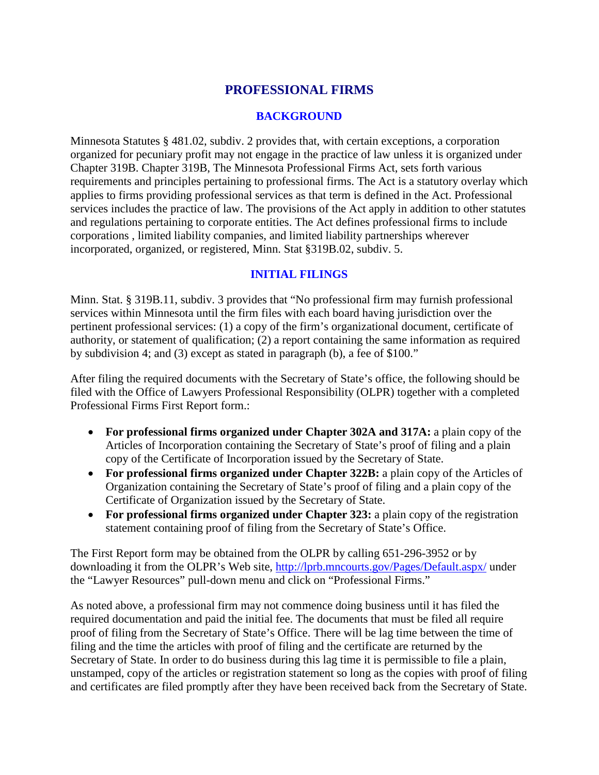# **PROFESSIONAL FIRMS**

### **BACKGROUND**

Minnesota Statutes § 481.02, subdiv. 2 provides that, with certain exceptions, a corporation organized for pecuniary profit may not engage in the practice of law unless it is organized under Chapter 319B. Chapter 319B, The Minnesota Professional Firms Act, sets forth various requirements and principles pertaining to professional firms. The Act is a statutory overlay which applies to firms providing professional services as that term is defined in the Act. Professional services includes the practice of law. The provisions of the Act apply in addition to other statutes and regulations pertaining to corporate entities. The Act defines professional firms to include corporations , limited liability companies, and limited liability partnerships wherever incorporated, organized, or registered, Minn. Stat §319B.02, subdiv. 5.

## **INITIAL FILINGS**

Minn. Stat. § 319B.11, subdiv. 3 provides that "No professional firm may furnish professional services within Minnesota until the firm files with each board having jurisdiction over the pertinent professional services: (1) a copy of the firm's organizational document, certificate of authority, or statement of qualification; (2) a report containing the same information as required by subdivision 4; and (3) except as stated in paragraph (b), a fee of \$100."

After filing the required documents with the Secretary of State's office, the following should be filed with the Office of Lawyers Professional Responsibility (OLPR) together with a completed Professional Firms First Report form.:

- **For professional firms organized under Chapter 302A and 317A:** a plain copy of the Articles of Incorporation containing the Secretary of State's proof of filing and a plain copy of the Certificate of Incorporation issued by the Secretary of State.
- For professional firms organized under Chapter 322B: a plain copy of the Articles of Organization containing the Secretary of State's proof of filing and a plain copy of the Certificate of Organization issued by the Secretary of State.
- For professional firms organized under Chapter 323: a plain copy of the registration statement containing proof of filing from the Secretary of State's Office.

The First Report form may be obtained from the OLPR by calling 651-296-3952 or by downloading it from the OLPR's Web site,<http://lprb.mncourts.gov/Pages/Default.aspx/> under the "Lawyer Resources" pull-down menu and click on "Professional Firms."

As noted above, a professional firm may not commence doing business until it has filed the required documentation and paid the initial fee. The documents that must be filed all require proof of filing from the Secretary of State's Office. There will be lag time between the time of filing and the time the articles with proof of filing and the certificate are returned by the Secretary of State. In order to do business during this lag time it is permissible to file a plain, unstamped, copy of the articles or registration statement so long as the copies with proof of filing and certificates are filed promptly after they have been received back from the Secretary of State.